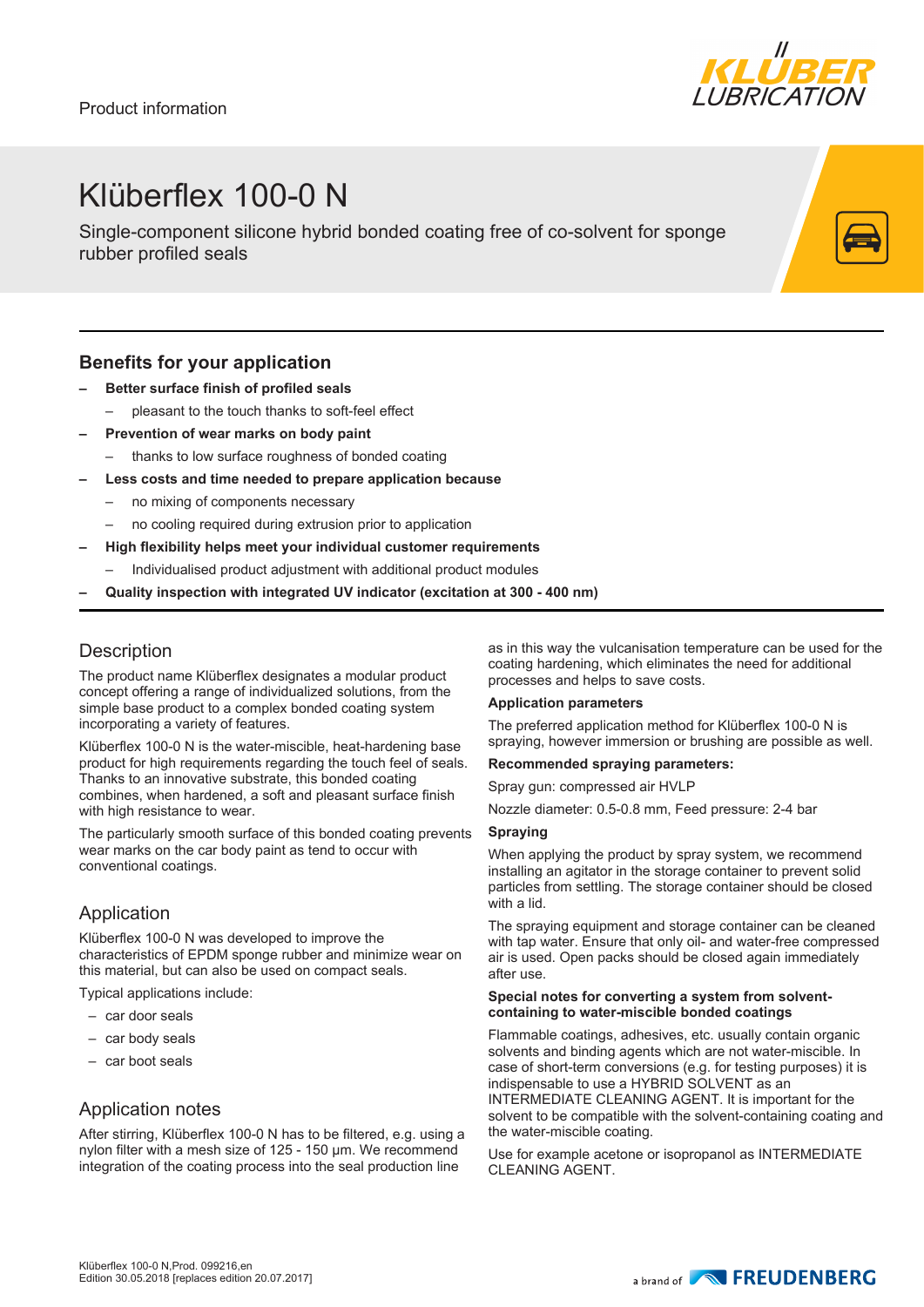

# Klüberflex 100-0 N

Single-component silicone hybrid bonded coating free of co-solvent for sponge rubber profiled seals

### **Benefits for your application**

- **– Better surface finish of profiled seals**
	- pleasant to the touch thanks to soft-feel effect
- **– Prevention of wear marks on body paint**
- thanks to low surface roughness of bonded coating
- **– Less costs and time needed to prepare application because**
	- no mixing of components necessary
	- no cooling required during extrusion prior to application
- **– High flexibility helps meet your individual customer requirements**
	- Individualised product adjustment with additional product modules
- **– Quality inspection with integrated UV indicator (excitation at 300 400 nm)**

## **Description**

The product name Klüberflex designates a modular product concept offering a range of individualized solutions, from the simple base product to a complex bonded coating system incorporating a variety of features.

Klüberflex 100-0 N is the water-miscible, heat-hardening base product for high requirements regarding the touch feel of seals. Thanks to an innovative substrate, this bonded coating combines, when hardened, a soft and pleasant surface finish with high resistance to wear.

The particularly smooth surface of this bonded coating prevents wear marks on the car body paint as tend to occur with conventional coatings.

## Application

Klüberflex 100-0 N was developed to improve the characteristics of EPDM sponge rubber and minimize wear on this material, but can also be used on compact seals.

Typical applications include:

- car door seals
- car body seals
- car boot seals

## Application notes

After stirring, Klüberflex 100-0 N has to be filtered, e.g. using a nylon filter with a mesh size of 125 - 150 µm. We recommend integration of the coating process into the seal production line

as in this way the vulcanisation temperature can be used for the coating hardening, which eliminates the need for additional processes and helps to save costs.

#### **Application parameters**

The preferred application method for Klüberflex 100-0 N is spraying, however immersion or brushing are possible as well.

#### **Recommended spraying parameters:**

Spray gun: compressed air HVLP

Nozzle diameter: 0.5-0.8 mm, Feed pressure: 2-4 bar

#### **Spraying**

When applying the product by spray system, we recommend installing an agitator in the storage container to prevent solid particles from settling. The storage container should be closed with a lid.

The spraying equipment and storage container can be cleaned with tap water. Ensure that only oil- and water-free compressed air is used. Open packs should be closed again immediately after use.

#### **Special notes for converting a system from solventcontaining to water-miscible bonded coatings**

Flammable coatings, adhesives, etc. usually contain organic solvents and binding agents which are not water-miscible. In case of short-term conversions (e.g. for testing purposes) it is indispensable to use a HYBRID SOLVENT as an INTERMEDIATE CLEANING AGENT. It is important for the solvent to be compatible with the solvent-containing coating and the water-miscible coating.

Use for example acetone or isopropanol as INTERMEDIATE CLEANING AGENT

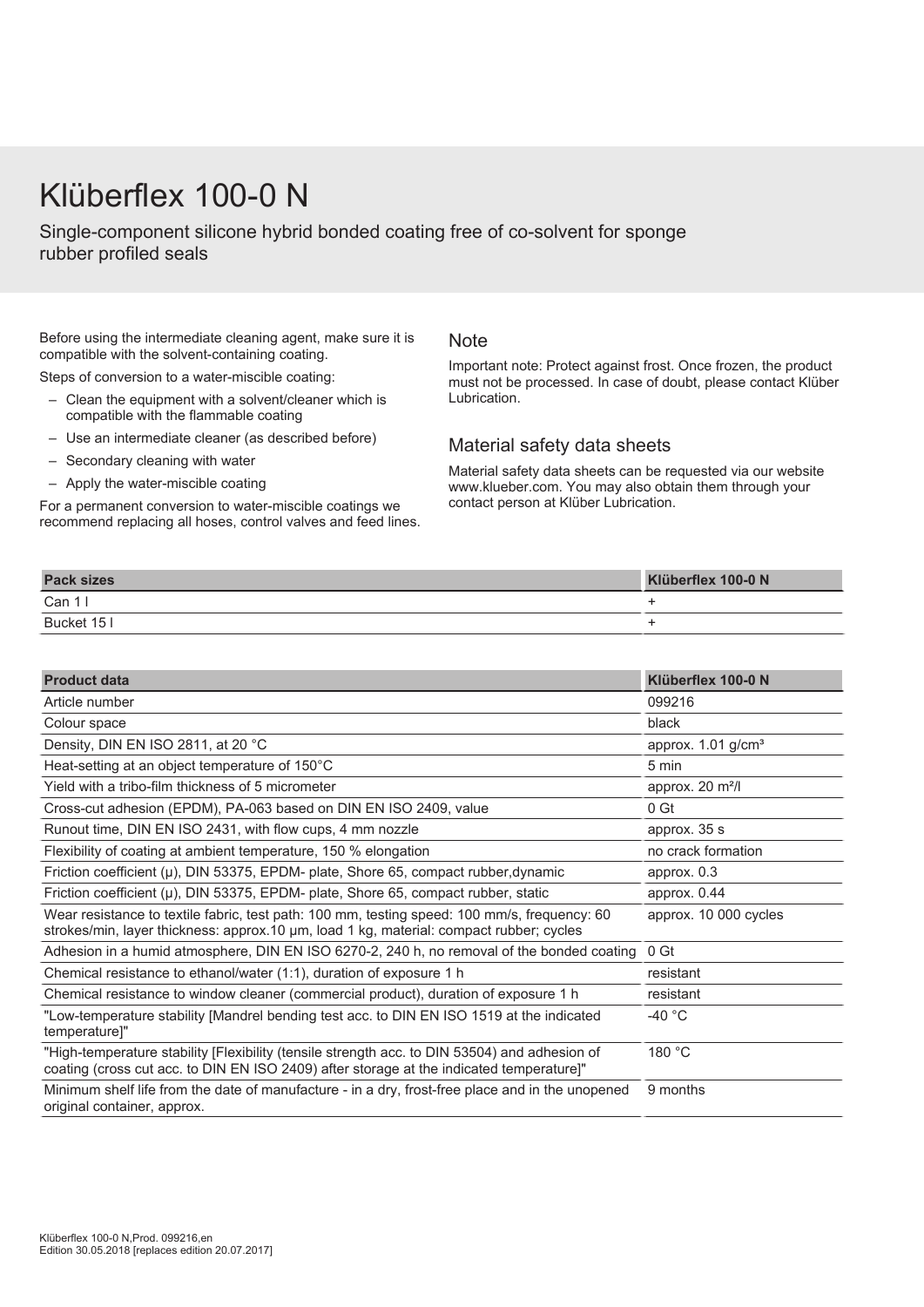# Klüberflex 100-0 N

Single-component silicone hybrid bonded coating free of co-solvent for sponge rubber profiled seals

Before using the intermediate cleaning agent, make sure it is compatible with the solvent-containing coating.

Steps of conversion to a water-miscible coating:

- Clean the equipment with a solvent/cleaner which is compatible with the flammable coating
- Use an intermediate cleaner (as described before)
- Secondary cleaning with water
- Apply the water-miscible coating

For a permanent conversion to water-miscible coatings we recommend replacing all hoses, control valves and feed lines.

#### Note

Important note: Protect against frost. Once frozen, the product must not be processed. In case of doubt, please contact Klüber Lubrication.

### Material safety data sheets

Material safety data sheets can be requested via our website www.klueber.com. You may also obtain them through your contact person at Klüber Lubrication.

| <b>Pack sizes</b> | Klüberflex 100-0 N |
|-------------------|--------------------|
| Can 1             |                    |
| Bucket 15 I       |                    |

| <b>Product data</b>                                                                                                                                                                       | Klüberflex 100-0 N               |  |  |  |  |  |  |
|-------------------------------------------------------------------------------------------------------------------------------------------------------------------------------------------|----------------------------------|--|--|--|--|--|--|
| Article number                                                                                                                                                                            | 099216                           |  |  |  |  |  |  |
| Colour space                                                                                                                                                                              | black                            |  |  |  |  |  |  |
| Density, DIN EN ISO 2811, at 20 °C                                                                                                                                                        | approx. $1.01$ g/cm <sup>3</sup> |  |  |  |  |  |  |
| Heat-setting at an object temperature of 150°C                                                                                                                                            | 5 min                            |  |  |  |  |  |  |
| Yield with a tribo-film thickness of 5 micrometer                                                                                                                                         | approx. $20 \text{ m}^2$ /l      |  |  |  |  |  |  |
| Cross-cut adhesion (EPDM), PA-063 based on DIN EN ISO 2409, value                                                                                                                         | 0 <sub>gt</sub>                  |  |  |  |  |  |  |
| Runout time, DIN EN ISO 2431, with flow cups, 4 mm nozzle                                                                                                                                 | approx. 35 s                     |  |  |  |  |  |  |
| Flexibility of coating at ambient temperature, 150 % elongation                                                                                                                           | no crack formation               |  |  |  |  |  |  |
| Friction coefficient ( $\mu$ ), DIN 53375, EPDM- plate, Shore 65, compact rubber, dynamic                                                                                                 | approx. 0.3                      |  |  |  |  |  |  |
| Friction coefficient ( $\mu$ ), DIN 53375, EPDM- plate, Shore 65, compact rubber, static                                                                                                  | approx. 0.44                     |  |  |  |  |  |  |
| Wear resistance to textile fabric, test path: 100 mm, testing speed: 100 mm/s, frequency: 60<br>strokes/min, layer thickness: approx.10 µm, load 1 kg, material: compact rubber; cycles   | approx. 10 000 cycles            |  |  |  |  |  |  |
| Adhesion in a humid atmosphere, DIN EN ISO 6270-2, 240 h, no removal of the bonded coating                                                                                                | 0 <sub>gt</sub>                  |  |  |  |  |  |  |
| Chemical resistance to ethanol/water (1:1), duration of exposure 1 h                                                                                                                      | resistant                        |  |  |  |  |  |  |
| Chemical resistance to window cleaner (commercial product), duration of exposure 1 h                                                                                                      | resistant                        |  |  |  |  |  |  |
| "Low-temperature stability [Mandrel bending test acc. to DIN EN ISO 1519 at the indicated<br>temperature]"                                                                                | $-40 °C$                         |  |  |  |  |  |  |
| "High-temperature stability [Flexibility (tensile strength acc. to DIN 53504) and adhesion of<br>coating (cross cut acc. to DIN EN ISO 2409) after storage at the indicated temperature]" | 180 °C                           |  |  |  |  |  |  |
| Minimum shelf life from the date of manufacture - in a dry, frost-free place and in the unopened<br>original container, approx.                                                           | 9 months                         |  |  |  |  |  |  |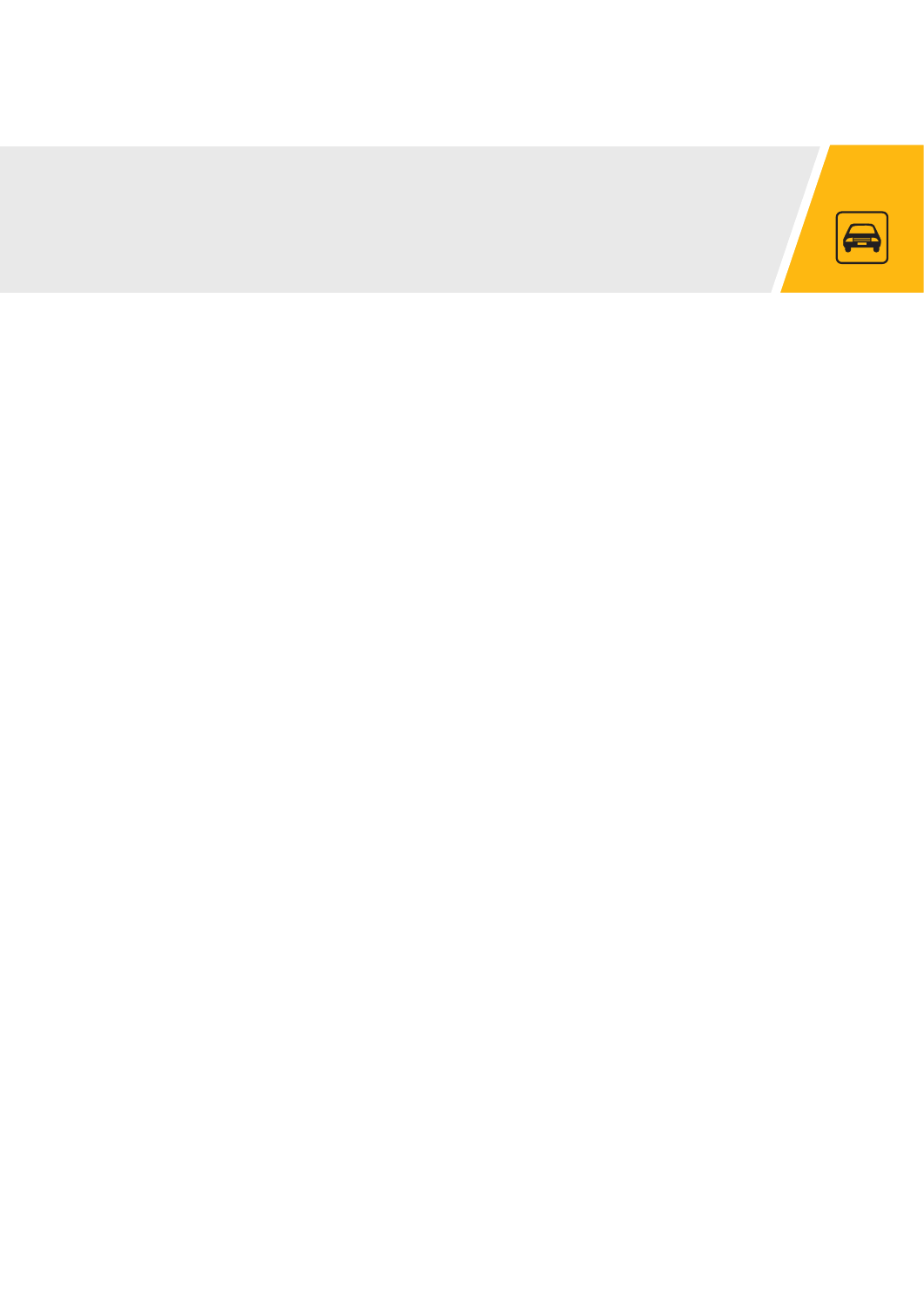